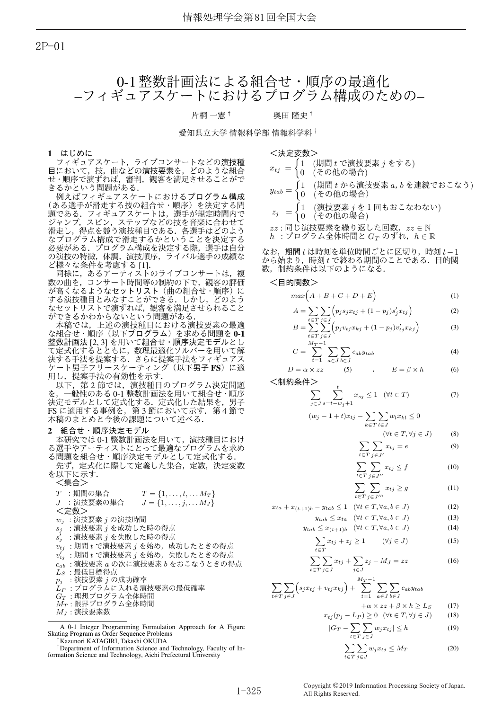2P-01

# 0-1 整数計画法による組合せ・順序の最適化 –フィギュアスケートにおけるプログラム構成のための–

片桐 一憲<sup>†</sup> 奥田 降史 <sup>†</sup>

/油宁亦粉\

愛知県立大学 情報科学部 情報科学科<sup>†</sup>

1 はじめに

フィギュアスケート,ライブコンサートなどの演技種 目において、技、曲などの演技要素を、どのような組合 せ・順序で演ずれば、審判、観客を満足させることがで きるかという問題がある.

例えばフィギュアスケートにおけるプログラム構成 (ある選手が滑走する技の組合せ・順序)を決定する問 題である.フィギュアスケートは,選手が規定時間内で ジャンプ, スピン, ステップなどの技を音楽に合わせて 滑走し,得点を競う演技種目である.各選手はどのよう なプログラム構成で滑走するかということを決定する 必要がある.プログラム構成を決定する際,選手は自分 の演技の特徴, 体調, 演技順序, ライバル選手の成績な ど様々な条件を考慮する [1].

同様に,あるアーティストのライブコンサートは,複 数の曲を,コンサート時間等の制約の下で,観客の評価 が高くなるようなセットリスト(曲の組合せ・順序)に する演技種目とみなすことができる.しかし,どのよう なセットリストで演ずれば,観客を満足させられること ができるかわからないという問題がある.

本稿では、上述の演技種目における演技要素の最適 な組合せ・順序(以下プログラム)を求める問題を0-1 整数計画法 [2, 3] を用いて組合せ·順序決定モデルとし て定式化するとともに、数理最適化ソルバーを用いて解 決する手法を提案する.さらに提案手法をフィギュアス ケート男子フリースケーティング(以下男子 FS)に適 用し、提案手法の有効性を示す.

以下、第2節では、演技種目のプログラム決定問題 一般性のある 0-1 整数計画法を用いて組合せ・順序 決定モデルとして定式化する。定式化した結果を、男子 FS に適用する事例を, 第3節において示す. 第4節で 本稿のまとめと今後の課題について述べる.

# 2 組合せ・順序決定モデル

本研究では0-1 整数計画法を用いて、演技種目におけ る選手やアーティストにとって最適なプログラムを求め る問題を組合せ・順序決定モデルとして定式化する.

先ず、定式化に際して定義した集合、定数、決定変数 を以下に示す.

 $\lt$ 集合 $>$ 

*T* :期間の集合 *T* = {1, . . . , t, . . . *M*<sub>*T*</sub>}<br>*J* :演技要素の集合 *J* = {1, . . . , *j*, . . . *M*<sub>*J*</sub>}  $J = \{1, \ldots, j, \ldots, M_J\}$ <定数>  $w_j$  : 演技要素 *j* の演技時間  $s_j$  : 演技要素  $j$  を成功した時の得点  $s'_j$  :演技要素 *j* を失敗した時の得点  $v_{tj}$  : 期間  $t$  で演技要素  $j$  を始め, 成功したときの得点  $v_{tj}'$  :期間  $t$  で演技要素  $j$  を始め,失敗したときの得点  $c_{ab}$  : 演技要素  $a$  の次に演技要素  $b$  をおこなうときの得点  $L_S$  : 最低目標得点  $p_i$  : 演技要素 *j* の成功確率  $L_P$  : プログラムに入れる演技要素の最低確率  $G_T$ :理想プログラム全体時間  $M_T$  : 限界プログラム全体時間  $M_J$ : 演技要素数

A 0-1 Integer Programming Formulation Approach for A Figure Skating Program as Order Sequence Problems *†*Kazunori KATAGIRI, Takashi OKUDA

*xtj* = ! 1 (ظؒ *t* Ͱԋٕཁૉ *j* Λ͢Δ) 0 (ͦͷଞͷ߹) *ytab* = ! 1 (ظؒ *t* ͔Βԋٕཁૉ *a*ɼ*b* Λ࿈ଓͰ͓͜ͳ͏) 0 (ͦͷଞͷ߹ʣ *z<sup>j</sup>* = ! 1 (ԋٕཁૉ *j* Λ̍ճ͓͜ͳΘͳ͍) 0 (ͦͷଞͷ߹)

zz : 同じ演技要素を繰り返した回数, zz ∈ N  $h$  :プログラム全体時間と $G_T$  のずれ, $h \in \mathbb{R}$ 

なお、期間 $t$ は時刻を単位時間ごとに区切り、時刻 $t-1$  $\Delta$ から始まり, 時刻 $t$ で終わる期間のことである. 目的関 数,制約条件は以下のようになる.

<目的関数>

$$
max(A + B + C + D + E) \tag{1}
$$

$$
A = \sum_{t \in T} \sum_{j \in J} \left( p_j s_j x_{tj} + (1 - p_j) s'_j x_{tj} \right) \tag{2}
$$

$$
B = \sum_{t \in T}^{\infty} \sum_{j \in J}^{\infty} \left( p_j v_{tj} x_{kj} + (1 - p_j) v'_{tj} x_{kj} \right)
$$
(3)

$$
C = \sum_{t=1}^{M_T - 1} \sum_{a \in J} \sum_{b \in J} c_{ab} y_{tab} \tag{4}
$$

$$
D = \alpha \times zz \qquad (5) \qquad , \qquad E = \beta \times h \qquad (6)
$$

<制約条件>

$$
\sum_{j \in J} \sum_{s=t-w_j+1}^{t} x_{sj} \le 1 \quad (\forall t \in T)
$$
 (7)

$$
(w_j - 1 + t)x_{tj} - \sum_{k \in T} \sum_{l \in J} w_l x_{kl} \le 0
$$

$$
(\forall t \in T, \forall j \in J)
$$
 (8)

$$
\sum_{t \in T} \sum_{j \in J'} x_{tj} = e \tag{9}
$$

$$
\sum_{t \in T} \sum_{j \in J''} x_{tj} \le f \tag{10}
$$

$$
\sum_{t \in T} \sum_{j \in J'''} x_{tj} \ge g \tag{11}
$$

$$
x_{ta} + x_{(t+1)b} - y_{tab} \le 1 \quad (\forall t \in T, \forall a, b \in J)
$$
 (12)

$$
y_{tab} \le x_{ta} \quad (\forall t \in T, \forall a, b \in J)
$$
 (13)

$$
y_{tab} \le x_{(t+1)b} \quad (\forall t \in T, \forall a, b \in J)
$$
 (14)

$$
\sum_{t \in T} x_{tj} + z_j \ge 1 \qquad (\forall j \in J)
$$
 (15)

$$
\sum_{t \in T} \sum_{j \in J} x_{tj} + \sum_{j \in J} z_j - M_J = zz \tag{16}
$$

$$
\sum_{t \in T} \sum_{j \in J} \left( s_j x_{tj} + v_{tj} x_{kj} \right) + \sum_{t=1}^{M_T - 1} \sum_{a \in J} \sum_{b \in J} c_{ab} y_{tab}
$$

$$
+\alpha \times zz + \beta \times h \ge L_S \qquad (17)
$$

$$
x_{tj}(p_j - L_P) \ge 0 \quad (\forall t \in T, \forall j \in J) \tag{18}
$$

$$
|G_T - \sum_{t \in T} \sum_{j \in J} w_j x_{tj}| \le h \tag{19}
$$

$$
\sum_{t \in T} \sum_{j \in J} w_j x_{tj} \le M_T \tag{20}
$$

*<sup>†</sup>*Department of Information Science and Technology, Faculty of Information Science and Technology, Aichi Prefectural University